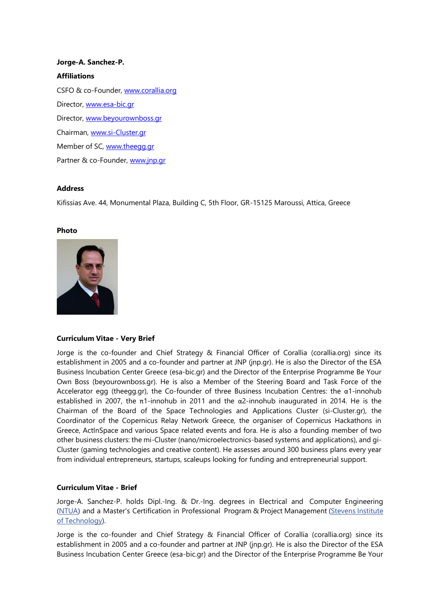# **Jorge-A. Sanchez-P. Affiliations** CSFO & co-Founder, [www.corallia.org](http://www.corallia.org/) Director, [www.esa-bic.gr](http://www.esa-bic.gr/) Director, [www.beyourownboss.gr](http://www.beyourownboss.gr/) Chairman, [www.si-Cluster.gr](http://www.si-cluster.gr/) Member of SC, [www.theegg.gr](http://www.theegg.gr/) Partner & co-Founder, [www.jnp.gr](http://www.jnp.gr/)

## **Address**

Kifissias Ave. 44, Monumental Plaza, Building C, 5th Floor, GR-15125 Maroussi, Attica, Greece

#### **Photo**



## **Curriculum Vitae - Very Brief**

Jorge is the co-founder and Chief Strategy & Financial Officer of Corallia (corallia.org) since its establishment in 2005 and a co-founder and partner at JNP (jnp.gr). He is also the Director of the ESA Business Incubation Center Greece (esa-bic.gr) and the Director of the Enterprise Programme Be Your Own Boss (beyourownboss.gr). He is also a Member of the Steering Board and Task Force of the Accelerator egg (theegg.gr), the Co-founder of three Business Incubation Centres: the α1-innohub established in 2007, the  $\pi$ 1-innohub in 2011 and the  $\alpha$ 2-innohub inaugurated in 2014. He is the Chairman of the Board of the Space Technologies and Applications Cluster (si-Cluster.gr), the Coordinator of the Copernicus Relay Network Greece, the organiser of Copernicus Hackathons in Greece, ActInSpace and various Space related events and fora. He is also a founding member of two other business clusters: the mi-Cluster (nano/microelectronics-based systems and applications), and gi-Cluster (gaming technologies and creative content). He assesses around 300 business plans every year from individual entrepreneurs, startups, scaleups looking for funding and entrepreneurial support.

## **Curriculum Vitae - Brief**

Jorge-A. Sanchez-P. holds Dipl.-Ing. & Dr.-Ing. degrees in Electrical and Computer Engineering [\(NTUA\)](http://www.ntua.gr/index_en.html) and a Master's Certification in Professional Program & Project Management [\(Stevens](http://www.stevens.edu/sit/) Institute of [Technology\)](http://www.stevens.edu/sit/).

Jorge is the co-founder and Chief Strategy & Financial Officer of Corallia (corallia.org) since its establishment in 2005 and a co-founder and partner at JNP (jnp.gr). He is also the Director of the ESA Business Incubation Center Greece (esa-bic.gr) and the Director of the Enterprise Programme Be Your